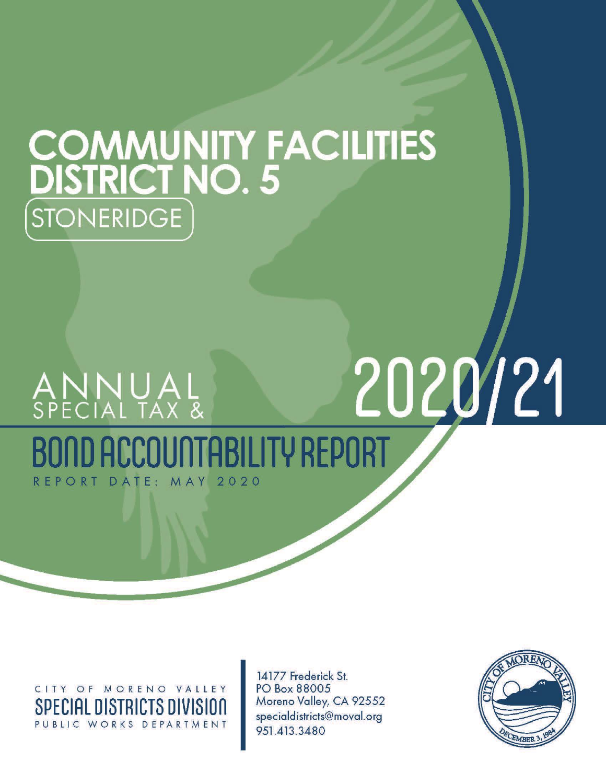# **COMMUNITY FACILITIES**<br>DISTRICT NO. 5 STONERIDGE

# 2020/21 ANNUAL<br>special tax & COUNTABILITY REPORT DATE: MAY  $2020$ REPORT

CITY OF MORENO VALLEY **SPECIAL DISTRICTS DIVISION** PUBLIC WORKS DEPARTMENT

14177 Frederick St. PO Box 88005 Moreno Valley, CA 92552 specialdistricts@moval.org 951.413.3480

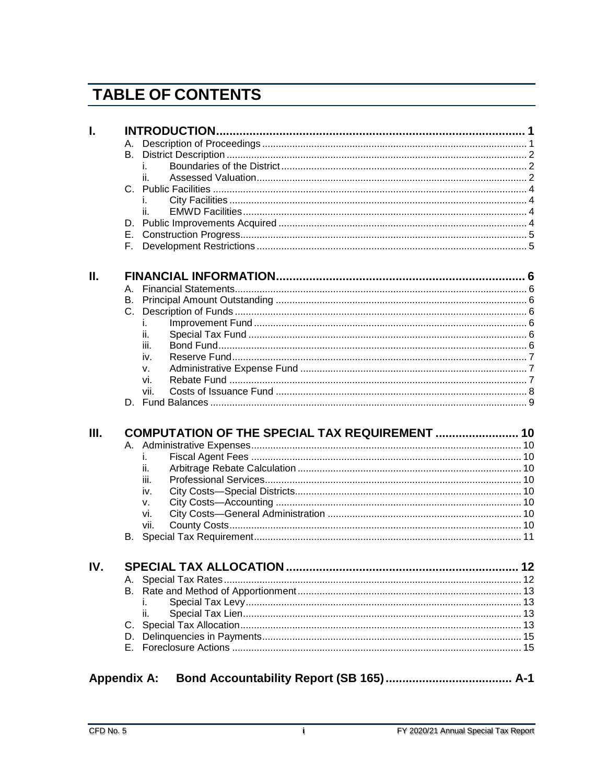# **TABLE OF CONTENTS**

| I.  |           |                                                |  |
|-----|-----------|------------------------------------------------|--|
|     |           |                                                |  |
|     | B.        |                                                |  |
|     |           | İ.                                             |  |
|     |           |                                                |  |
|     |           |                                                |  |
|     |           |                                                |  |
|     |           | ii.                                            |  |
|     |           |                                                |  |
|     | Е.        |                                                |  |
|     | E.        |                                                |  |
| Ш.  |           |                                                |  |
|     | А.        |                                                |  |
|     | <b>B.</b> |                                                |  |
|     | $C_{1}$   |                                                |  |
|     |           | İ.                                             |  |
|     |           | ii.                                            |  |
|     |           | iii.                                           |  |
|     |           | iv.                                            |  |
|     |           | v.                                             |  |
|     |           | vi.                                            |  |
|     |           | vii.                                           |  |
|     |           |                                                |  |
|     |           |                                                |  |
| Ш.  |           | COMPUTATION OF THE SPECIAL TAX REQUIREMENT  10 |  |
|     |           |                                                |  |
|     |           | İ.                                             |  |
|     |           | ii.                                            |  |
|     |           | iii.                                           |  |
|     |           | iv.                                            |  |
|     |           | v.                                             |  |
|     |           | vi.                                            |  |
|     |           | vii.                                           |  |
|     | В.        |                                                |  |
| IV. |           |                                                |  |
|     |           |                                                |  |
|     | В.        |                                                |  |
|     |           |                                                |  |
|     |           | ii.                                            |  |
|     |           |                                                |  |
|     | D.        |                                                |  |
|     | Е.        |                                                |  |
|     |           |                                                |  |

| <b>Appendix A:</b> |  |  |  |
|--------------------|--|--|--|
|--------------------|--|--|--|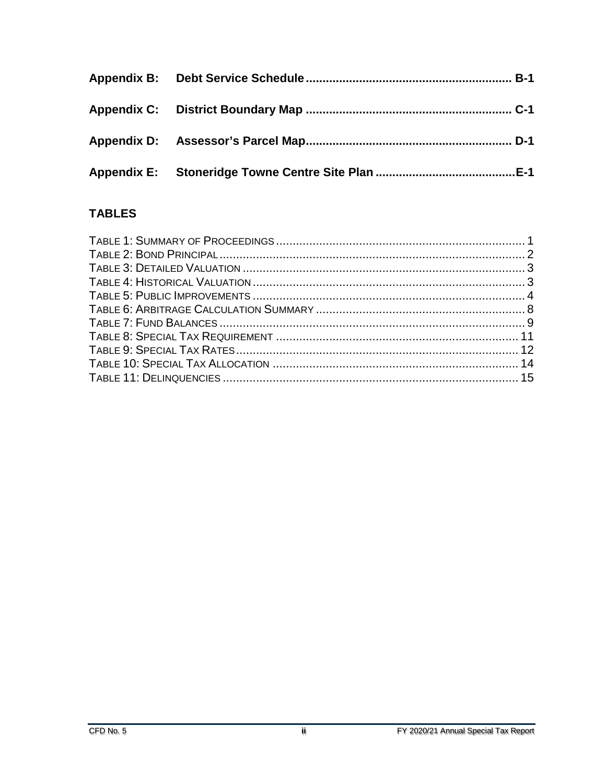## **TABLES**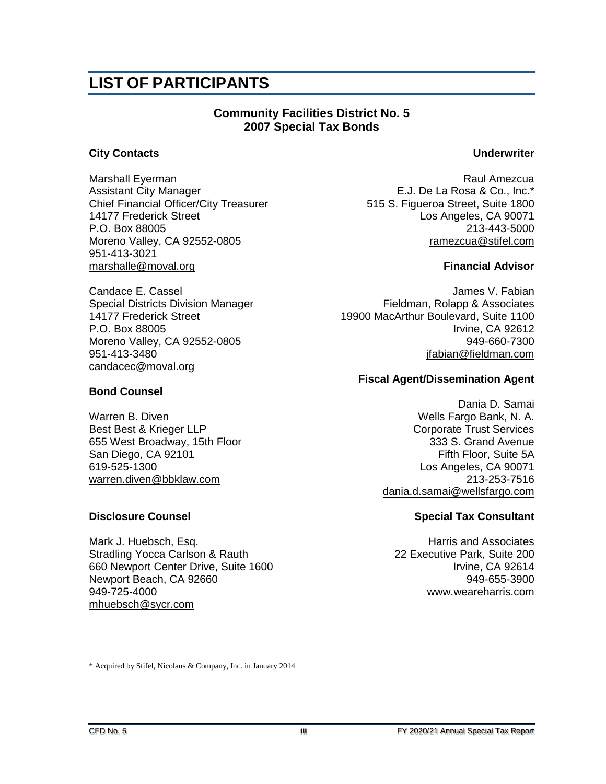# **LIST OF PARTICIPANTS**

#### **Community Facilities District No. 5 2007 Special Tax Bonds**

#### **City Contacts Underwriter**

Assistant City Manager **Accord E.J. De La Rosa & Co., Inc.**\* Chief Financial Officer/City Treasurer 515 S. Figueroa Street, Suite 1800<br>14177 Frederick Street Los Angeles, CA 90071 P.O. Box 88005 213-443-5000 Moreno Valley, CA 92552-0805 **ramezcua@stifel.com** 951-413-3021 [marshalle@moval.org](mailto:richardt@moval.org) **Financial Advisor**

[candacec@moval.org](mailto:candacec@moval.org)

#### **Bond Counsel**

Warren B. Diven Wells Fargo Bank, N. A. Best Best & Krieger LLP Corporate Trust Services 655 West Broadway, 15th Floor 333 S. Grand Avenue San Diego, CA 92101 Fifth Floor, Suite 5A 619-525-1300 Los Angeles, CA 90071 [warren.diven@bbklaw.com](mailto:warren.diven@bbklaw.com) 213-253-7516

Mark J. Huebsch, Esq. National Communication of the Harris and Associates Stradling Yocca Carlson & Rauth 22 Executive Park, Suite 200 660 Newport Center Drive, Suite 1600 Newport Beach, CA 92660 949-655-3900 949-725-4000 www.weareharris.com [mhuebsch@sycr.com](mailto:mhuebsch@sycr.com)

Marshall Eyerman **Raul Amezcua** Raul Amezcua Los Angeles, CA 90071

Candace E. Cassel James V. Fabian James V. Fabian James V. Fabian James V. Fabian Special Districts Division Manager **Fieldman, Rolapp & Associates** 14177 Frederick Street 19900 MacArthur Boulevard, Suite 1100 P.O. Box 88005 Irvine, CA 92612 Moreno Valley, CA 92552-0805 949-660-7300 951-413-3480 [jfabian@fieldman.com](mailto:jfabian@fieldman.com)

#### **Fiscal Agent/Dissemination Agent**

Dania D. Samai [dania.d.samai@wellsfargo.com](mailto:dania.d.samai@wellsfargo.com)

#### **Disclosure Counsel Special Tax Consultant**

\* Acquired by Stifel, Nicolaus & Company, Inc. in January 2014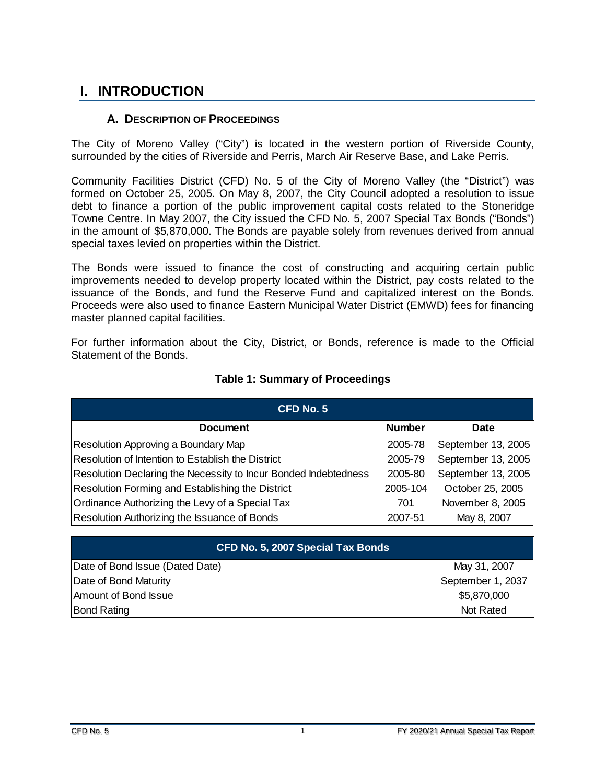## <span id="page-4-0"></span>**I. INTRODUCTION**

#### **A. DESCRIPTION OF PROCEEDINGS**

<span id="page-4-1"></span>The City of Moreno Valley ("City") is located in the western portion of Riverside County, surrounded by the cities of Riverside and Perris, March Air Reserve Base, and Lake Perris.

Community Facilities District (CFD) No. 5 of the City of Moreno Valley (the "District") was formed on October 25, 2005. On May 8, 2007, the City Council adopted a resolution to issue debt to finance a portion of the public improvement capital costs related to the Stoneridge Towne Centre. In May 2007, the City issued the CFD No. 5, 2007 Special Tax Bonds ("Bonds") in the amount of \$5,870,000. The Bonds are payable solely from revenues derived from annual special taxes levied on properties within the District.

The Bonds were issued to finance the cost of constructing and acquiring certain public improvements needed to develop property located within the District, pay costs related to the issuance of the Bonds, and fund the Reserve Fund and capitalized interest on the Bonds. Proceeds were also used to finance Eastern Municipal Water District (EMWD) fees for financing master planned capital facilities.

For further information about the City, District, or Bonds, reference is made to the Official Statement of the Bonds.

<span id="page-4-2"></span>

| <b>CFD No. 5</b>                                                |               |                    |
|-----------------------------------------------------------------|---------------|--------------------|
| <b>Document</b>                                                 | <b>Number</b> | <b>Date</b>        |
| Resolution Approving a Boundary Map                             | 2005-78       | September 13, 2005 |
| Resolution of Intention to Establish the District               | 2005-79       | September 13, 2005 |
| Resolution Declaring the Necessity to Incur Bonded Indebtedness | 2005-80       | September 13, 2005 |
| Resolution Forming and Establishing the District                | 2005-104      | October 25, 2005   |
| Ordinance Authorizing the Levy of a Special Tax                 | 701           | November 8, 2005   |
| Resolution Authorizing the Issuance of Bonds                    | 2007-51       | May 8, 2007        |

#### **Table 1: Summary of Proceedings**

| CFD No. 5, 2007 Special Tax Bonds |                   |  |  |  |  |
|-----------------------------------|-------------------|--|--|--|--|
| Date of Bond Issue (Dated Date)   | May 31, 2007      |  |  |  |  |
| Date of Bond Maturity             | September 1, 2037 |  |  |  |  |
| Amount of Bond Issue              | \$5,870,000       |  |  |  |  |
| <b>Bond Rating</b>                | Not Rated         |  |  |  |  |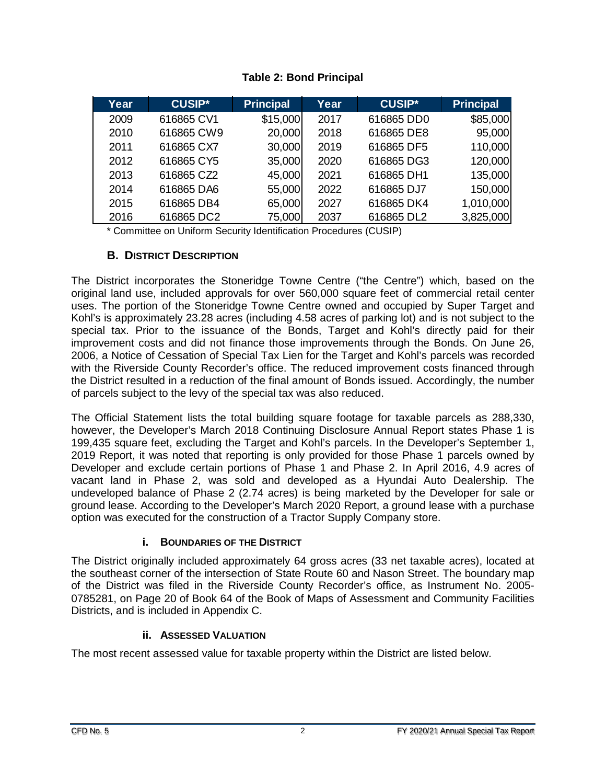<span id="page-5-3"></span>

| Year | <b>CUSIP*</b> | <b>Principal</b> | Year | <b>CUSIP*</b> | <b>Principal</b> |
|------|---------------|------------------|------|---------------|------------------|
| 2009 | 616865 CV1    | \$15,000         | 2017 | 616865 DD0    | \$85,000         |
| 2010 | 616865 CW9    | 20,000           | 2018 | 616865 DE8    | 95,000           |
| 2011 | 616865 CX7    | 30,000           | 2019 | 616865 DF5    | 110,000          |
| 2012 | 616865 CY5    | 35,000           | 2020 | 616865 DG3    | 120,000          |
| 2013 | 616865 CZ2    | 45,000           | 2021 | 616865 DH1    | 135,000          |
| 2014 | 616865 DA6    | 55,000           | 2022 | 616865 DJ7    | 150,000          |
| 2015 | 616865 DB4    | 65,000           | 2027 | 616865 DK4    | 1,010,000        |
| 2016 | 616865 DC2    | 75,000           | 2037 | 616865 DL2    | 3,825,000        |

#### **Table 2: Bond Principal**

\* Committee on Uniform Security Identification Procedures (CUSIP)

#### **B. DISTRICT DESCRIPTION**

<span id="page-5-0"></span>The District incorporates the Stoneridge Towne Centre ("the Centre") which, based on the original land use, included approvals for over 560,000 square feet of commercial retail center uses. The portion of the Stoneridge Towne Centre owned and occupied by Super Target and Kohl's is approximately 23.28 acres (including 4.58 acres of parking lot) and is not subject to the special tax. Prior to the issuance of the Bonds, Target and Kohl's directly paid for their improvement costs and did not finance those improvements through the Bonds. On June 26, 2006, a Notice of Cessation of Special Tax Lien for the Target and Kohl's parcels was recorded with the Riverside County Recorder's office. The reduced improvement costs financed through the District resulted in a reduction of the final amount of Bonds issued. Accordingly, the number of parcels subject to the levy of the special tax was also reduced.

The Official Statement lists the total building square footage for taxable parcels as 288,330, however, the Developer's March 2018 Continuing Disclosure Annual Report states Phase 1 is 199,435 square feet, excluding the Target and Kohl's parcels. In the Developer's September 1, 2019 Report, it was noted that reporting is only provided for those Phase 1 parcels owned by Developer and exclude certain portions of Phase 1 and Phase 2. In April 2016, 4.9 acres of vacant land in Phase 2, was sold and developed as a Hyundai Auto Dealership. The undeveloped balance of Phase 2 (2.74 acres) is being marketed by the Developer for sale or ground lease. According to the Developer's March 2020 Report, a ground lease with a purchase option was executed for the construction of a Tractor Supply Company store.

#### **i. BOUNDARIES OF THE DISTRICT**

<span id="page-5-1"></span>The District originally included approximately 64 gross acres (33 net taxable acres), located at the southeast corner of the intersection of State Route 60 and Nason Street. The boundary map of the District was filed in the Riverside County Recorder's office, as Instrument No. 2005- 0785281, on Page 20 of Book 64 of the Book of Maps of Assessment and Community Facilities Districts, and is included in Appendix C.

#### **ii. ASSESSED VALUATION**

<span id="page-5-2"></span>The most recent assessed value for taxable property within the District are listed below.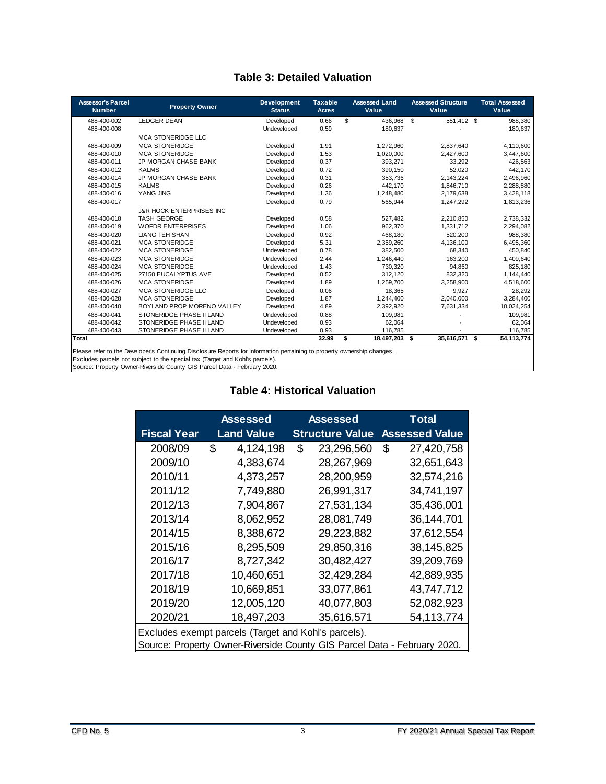#### **Table 3: Detailed Valuation**

<span id="page-6-0"></span>

| <b>Assessor's Parcel</b><br><b>Number</b> | <b>Property Owner</b>                                                                                                    | <b>Development</b><br><b>Status</b> | <b>Taxable</b><br><b>Acres</b> |     | <b>Assessed Land</b><br>Value | <b>Assessed Structure</b><br>Value | <b>Total Assessed</b><br>Value |
|-------------------------------------------|--------------------------------------------------------------------------------------------------------------------------|-------------------------------------|--------------------------------|-----|-------------------------------|------------------------------------|--------------------------------|
| 488-400-002                               | <b>LEDGER DEAN</b>                                                                                                       | Developed                           | 0.66                           | \$. | 436.968                       | \$<br>551,412 \$                   | 988,380                        |
| 488-400-008                               |                                                                                                                          | Undeveloped                         | 0.59                           |     | 180,637                       |                                    | 180,637                        |
|                                           | MCA STONERIDGE LLC                                                                                                       |                                     |                                |     |                               |                                    |                                |
| 488-400-009                               | <b>MCA STONERIDGE</b>                                                                                                    | Developed                           | 1.91                           |     | 1,272,960                     | 2,837,640                          | 4,110,600                      |
| 488-400-010                               | <b>MCA STONERIDGE</b>                                                                                                    | Developed                           | 1.53                           |     | 1,020,000                     | 2,427,600                          | 3,447,600                      |
| 488-400-011                               | JP MORGAN CHASE BANK                                                                                                     | Developed                           | 0.37                           |     | 393,271                       | 33.292                             | 426,563                        |
| 488-400-012                               | <b>KALMS</b>                                                                                                             | Developed                           | 0.72                           |     | 390,150                       | 52,020                             | 442,170                        |
| 488-400-014                               | <b>JP MORGAN CHASE BANK</b>                                                                                              | Developed                           | 0.31                           |     | 353.736                       | 2,143,224                          | 2,496,960                      |
| 488-400-015                               | <b>KALMS</b>                                                                                                             | Developed                           | 0.26                           |     | 442,170                       | 1,846,710                          | 2,288,880                      |
| 488-400-016                               | YANG JING                                                                                                                | Developed                           | 1.36                           |     | 1,248,480                     | 2,179,638                          | 3,428,118                      |
| 488-400-017                               |                                                                                                                          | Developed                           | 0.79                           |     | 565.944                       | 1,247,292                          | 1,813,236                      |
|                                           | <b>J&amp;R HOCK ENTERPRISES INC</b>                                                                                      |                                     |                                |     |                               |                                    |                                |
| 488-400-018                               | <b>TASH GEORGE</b>                                                                                                       | Developed                           | 0.58                           |     | 527,482                       | 2,210,850                          | 2,738,332                      |
| 488-400-019                               | <b>WOFDR ENTERPRISES</b>                                                                                                 | Developed                           | 1.06                           |     | 962.370                       | 1.331.712                          | 2,294,082                      |
| 488-400-020                               | <b>LIANG TEH SHAN</b>                                                                                                    | Developed                           | 0.92                           |     | 468,180                       | 520,200                            | 988,380                        |
| 488-400-021                               | <b>MCA STONERIDGE</b>                                                                                                    | Developed                           | 5.31                           |     | 2.359.260                     | 4.136.100                          | 6,495,360                      |
| 488-400-022                               | <b>MCA STONERIDGE</b>                                                                                                    | Undeveloped                         | 0.78                           |     | 382,500                       | 68,340                             | 450,840                        |
| 488-400-023                               | <b>MCA STONERIDGE</b>                                                                                                    | Undeveloped                         | 2.44                           |     | 1.246.440                     | 163,200                            | 1,409,640                      |
| 488-400-024                               | <b>MCA STONERIDGE</b>                                                                                                    | Undeveloped                         | 1.43                           |     | 730.320                       | 94.860                             | 825,180                        |
| 488-400-025                               | 27150 EUCALYPTUS AVE                                                                                                     | Developed                           | 0.52                           |     | 312.120                       | 832.320                            | 1,144,440                      |
| 488-400-026                               | <b>MCA STONERIDGE</b>                                                                                                    | Developed                           | 1.89                           |     | 1,259,700                     | 3,258,900                          | 4,518,600                      |
| 488-400-027                               | MCA STONERIDGE LLC                                                                                                       | Developed                           | 0.06                           |     | 18.365                        | 9.927                              | 28,292                         |
| 488-400-028                               | <b>MCA STONERIDGE</b>                                                                                                    | Developed                           | 1.87                           |     | 1,244,400                     | 2,040,000                          | 3,284,400                      |
| 488-400-040                               | BOYLAND PROP MORENO VALLEY                                                                                               | Developed                           | 4.89                           |     | 2,392,920                     | 7,631,334                          | 10,024,254                     |
| 488-400-041                               | STONERIDGE PHASE II LAND                                                                                                 | Undeveloped                         | 0.88                           |     | 109.981                       |                                    | 109,981                        |
| 488-400-042                               | STONERIDGE PHASE II LAND                                                                                                 | Undeveloped                         | 0.93                           |     | 62.064                        |                                    | 62,064                         |
| 488-400-043                               | STONERIDGE PHASE II LAND                                                                                                 | Undeveloped                         | 0.93                           |     | 116,785                       |                                    | 116,785                        |
| Total                                     |                                                                                                                          |                                     | 32.99                          | \$  | 18,497,203 \$                 | 35,616,571 \$                      | 54, 113, 774                   |
|                                           | Dispos refer to the Developedo Continuing Dipplement Departs for information portaining to proporty aumerable phonograph |                                     |                                |     |                               |                                    |                                |

Please refer to the Developer's Continuing Disclosure Reports for information pertaining to property ownership changes.

Excludes parcels not subject to the special tax (Target and Kohl's parcels).

<span id="page-6-1"></span>Source: Property Owner-Riverside County GIS Parcel Data - February 2020.

#### **Table 4: Historical Valuation**

|                                                      | <b>Assessed</b> |                   | Assessed | Total                                                                    |   |                       |  |
|------------------------------------------------------|-----------------|-------------------|----------|--------------------------------------------------------------------------|---|-----------------------|--|
| <b>Fiscal Year</b>                                   |                 | <b>Land Value</b> |          | <b>Structure Value</b>                                                   |   | <b>Assessed Value</b> |  |
| 2008/09                                              | \$              | 4,124,198         | \$       | 23,296,560                                                               | S | 27,420,758            |  |
| 2009/10                                              |                 | 4,383,674         |          | 28,267,969                                                               |   | 32,651,643            |  |
| 2010/11                                              |                 | 4,373,257         |          | 28,200,959                                                               |   | 32,574,216            |  |
| 2011/12                                              |                 | 7,749,880         |          | 26,991,317                                                               |   | 34,741,197            |  |
| 2012/13                                              |                 | 7,904,867         |          | 27,531,134                                                               |   | 35,436,001            |  |
| 2013/14                                              |                 | 8,062,952         |          | 28,081,749                                                               |   | 36,144,701            |  |
| 2014/15                                              |                 | 8,388,672         |          | 29,223,882                                                               |   | 37,612,554            |  |
| 2015/16                                              |                 | 8,295,509         |          | 29,850,316                                                               |   | 38,145,825            |  |
| 2016/17                                              |                 | 8,727,342         |          | 30,482,427                                                               |   | 39,209,769            |  |
| 2017/18                                              |                 | 10.460.651        |          | 32,429,284                                                               |   | 42,889,935            |  |
| 2018/19                                              |                 | 10,669,851        |          | 33,077,861                                                               |   | 43,747,712            |  |
| 2019/20                                              |                 | 12,005,120        |          | 40,077,803                                                               |   | 52,082,923            |  |
| 2020/21                                              |                 | 18,497,203        |          | 35,616,571                                                               |   | 54,113,774            |  |
| Excludes exempt parcels (Target and Kohl's parcels). |                 |                   |          |                                                                          |   |                       |  |
|                                                      |                 |                   |          | Source: Property Owner-Riverside County GIS Parcel Data - February 2020. |   |                       |  |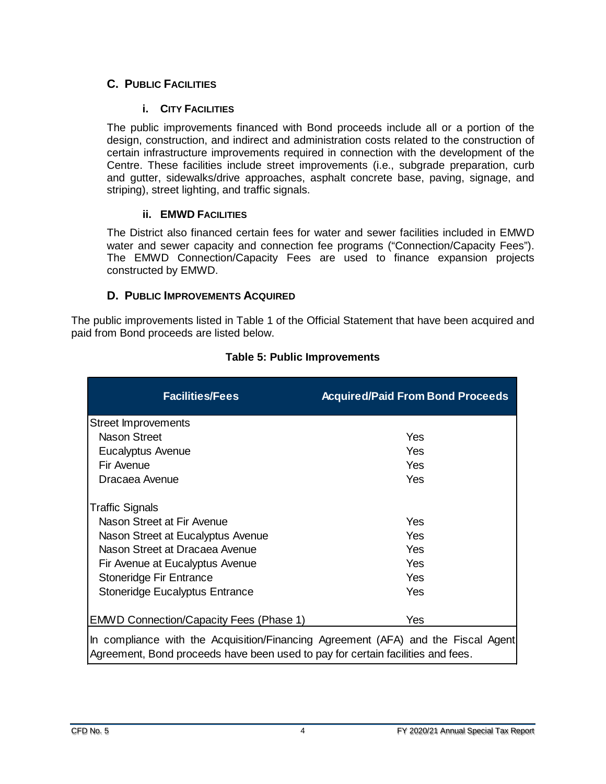#### <span id="page-7-0"></span>**C. PUBLIC FACILITIES**

#### **i. CITY FACILITIES**

<span id="page-7-1"></span>The public improvements financed with Bond proceeds include all or a portion of the design, construction, and indirect and administration costs related to the construction of certain infrastructure improvements required in connection with the development of the Centre. These facilities include street improvements (i.e., subgrade preparation, curb and gutter, sidewalks/drive approaches, asphalt concrete base, paving, signage, and striping), street lighting, and traffic signals.

#### **ii. EMWD FACILITIES**

<span id="page-7-2"></span>The District also financed certain fees for water and sewer facilities included in EMWD water and sewer capacity and connection fee programs ("Connection/Capacity Fees"). The EMWD Connection/Capacity Fees are used to finance expansion projects constructed by EMWD.

#### **D. PUBLIC IMPROVEMENTS ACQUIRED**

<span id="page-7-3"></span>The public improvements listed in Table 1 of the Official Statement that have been acquired and paid from Bond proceeds are listed below.

<span id="page-7-4"></span>

| <b>Facilities/Fees</b>                                                            | <b>Acquired/Paid From Bond Proceeds</b> |
|-----------------------------------------------------------------------------------|-----------------------------------------|
| <b>Street Improvements</b>                                                        |                                         |
| Nason Street                                                                      | Yes                                     |
| Eucalyptus Avenue                                                                 | Yes                                     |
| Fir Avenue                                                                        | Yes                                     |
| Dracaea Avenue                                                                    | Yes                                     |
| <b>Traffic Signals</b>                                                            |                                         |
| Nason Street at Fir Avenue                                                        | Yes                                     |
| Nason Street at Eucalyptus Avenue                                                 | Yes                                     |
| Nason Street at Dracaea Avenue                                                    | Yes                                     |
| Fir Avenue at Eucalyptus Avenue                                                   | Yes                                     |
| Stoneridge Fir Entrance                                                           | Yes                                     |
| <b>Stoneridge Eucalyptus Entrance</b>                                             | Yes                                     |
| <b>EMWD Connection/Capacity Fees (Phase 1)</b>                                    | Yes                                     |
| In compliance with the Acquisition/Einancing Agreement (AEA) and the Eiseal Agont |                                         |

#### **Table 5: Public Improvements**

In compliance with the Acquisition/Financing Agreement (AFA) and the Fiscal Agent Agreement, Bond proceeds have been used to pay for certain facilities and fees.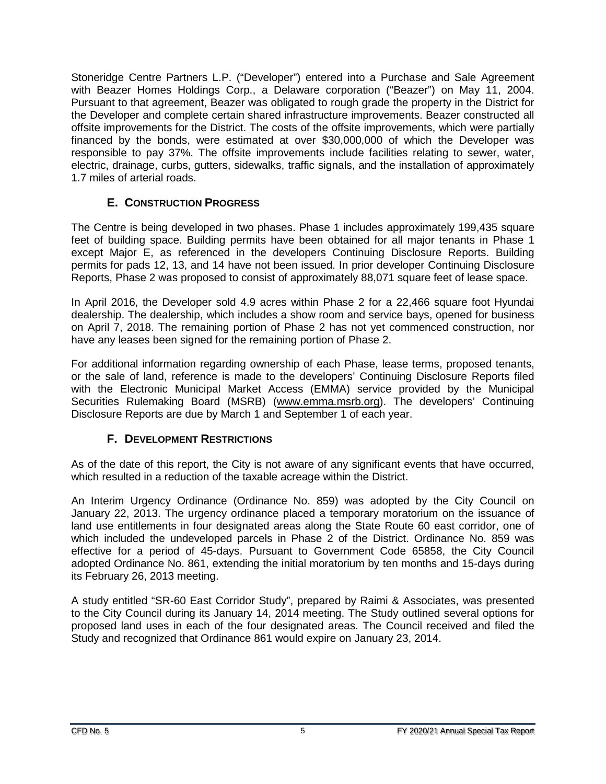Stoneridge Centre Partners L.P. ("Developer") entered into a Purchase and Sale Agreement with Beazer Homes Holdings Corp., a Delaware corporation ("Beazer") on May 11, 2004. Pursuant to that agreement, Beazer was obligated to rough grade the property in the District for the Developer and complete certain shared infrastructure improvements. Beazer constructed all offsite improvements for the District. The costs of the offsite improvements, which were partially financed by the bonds, were estimated at over \$30,000,000 of which the Developer was responsible to pay 37%. The offsite improvements include facilities relating to sewer, water, electric, drainage, curbs, gutters, sidewalks, traffic signals, and the installation of approximately 1.7 miles of arterial roads.

#### **E. CONSTRUCTION PROGRESS**

<span id="page-8-0"></span>The Centre is being developed in two phases. Phase 1 includes approximately 199,435 square feet of building space. Building permits have been obtained for all major tenants in Phase 1 except Major E, as referenced in the developers Continuing Disclosure Reports. Building permits for pads 12, 13, and 14 have not been issued. In prior developer Continuing Disclosure Reports, Phase 2 was proposed to consist of approximately 88,071 square feet of lease space.

In April 2016, the Developer sold 4.9 acres within Phase 2 for a 22,466 square foot Hyundai dealership. The dealership, which includes a show room and service bays, opened for business on April 7, 2018. The remaining portion of Phase 2 has not yet commenced construction, nor have any leases been signed for the remaining portion of Phase 2.

For additional information regarding ownership of each Phase, lease terms, proposed tenants, or the sale of land, reference is made to the developers' Continuing Disclosure Reports filed with the Electronic Municipal Market Access (EMMA) service provided by the Municipal Securities Rulemaking Board (MSRB) [\(www.emma.msrb.org\)](http://www.emma.msrb.org/). The developers' Continuing Disclosure Reports are due by March 1 and September 1 of each year.

#### **F. DEVELOPMENT RESTRICTIONS**

<span id="page-8-1"></span>As of the date of this report, the City is not aware of any significant events that have occurred, which resulted in a reduction of the taxable acreage within the District.

An Interim Urgency Ordinance (Ordinance No. 859) was adopted by the City Council on January 22, 2013. The urgency ordinance placed a temporary moratorium on the issuance of land use entitlements in four designated areas along the State Route 60 east corridor, one of which included the undeveloped parcels in Phase 2 of the District. Ordinance No. 859 was effective for a period of 45-days. Pursuant to Government Code 65858, the City Council adopted Ordinance No. 861, extending the initial moratorium by ten months and 15-days during its February 26, 2013 meeting.

A study entitled "SR-60 East Corridor Study", prepared by Raimi & Associates, was presented to the City Council during its January 14, 2014 meeting. The Study outlined several options for proposed land uses in each of the four designated areas. The Council received and filed the Study and recognized that Ordinance 861 would expire on January 23, 2014.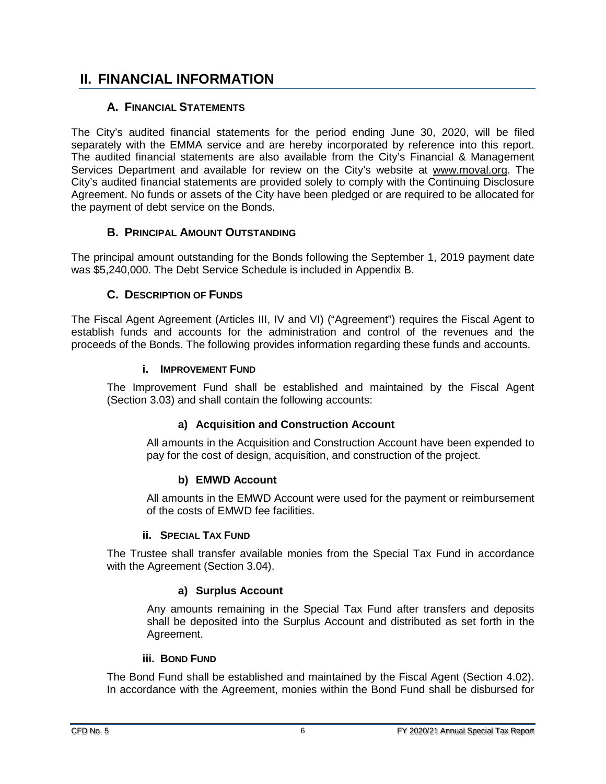## <span id="page-9-0"></span>**II. FINANCIAL INFORMATION**

#### **A. FINANCIAL STATEMENTS**

<span id="page-9-1"></span>The City's audited financial statements for the period ending June 30, 2020, will be filed separately with the EMMA service and are hereby incorporated by reference into this report. The audited financial statements are also available from the City's Financial & Management Services Department and available for review on the City's website at [www.m](http://www./)oval.org. The City's audited financial statements are provided solely to comply with the Continuing Disclosure Agreement. No funds or assets of the City have been pledged or are required to be allocated for the payment of debt service on the Bonds.

#### **B. PRINCIPAL AMOUNT OUTSTANDING**

<span id="page-9-2"></span>The principal amount outstanding for the Bonds following the September 1, 2019 payment date was \$5,240,000. The Debt Service Schedule is included in Appendix B.

#### **C. DESCRIPTION OF FUNDS**

<span id="page-9-3"></span>The Fiscal Agent Agreement (Articles III, IV and VI) ("Agreement") requires the Fiscal Agent to establish funds and accounts for the administration and control of the revenues and the proceeds of the Bonds. The following provides information regarding these funds and accounts.

#### **i. IMPROVEMENT FUND**

<span id="page-9-4"></span>The Improvement Fund shall be established and maintained by the Fiscal Agent (Section 3.03) and shall contain the following accounts:

#### **a) Acquisition and Construction Account**

All amounts in the Acquisition and Construction Account have been expended to pay for the cost of design, acquisition, and construction of the project.

#### **b) EMWD Account**

All amounts in the EMWD Account were used for the payment or reimbursement of the costs of EMWD fee facilities.

#### **ii. SPECIAL TAX FUND**

<span id="page-9-5"></span>The Trustee shall transfer available monies from the Special Tax Fund in accordance with the Agreement (Section 3.04).

#### **a) Surplus Account**

Any amounts remaining in the Special Tax Fund after transfers and deposits shall be deposited into the Surplus Account and distributed as set forth in the Agreement.

#### **iii. BOND FUND**

<span id="page-9-6"></span>The Bond Fund shall be established and maintained by the Fiscal Agent (Section 4.02). In accordance with the Agreement, monies within the Bond Fund shall be disbursed for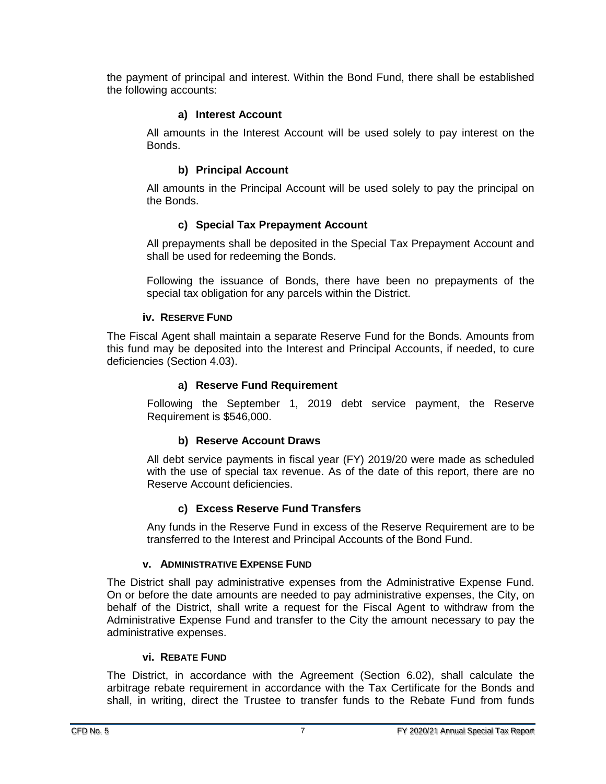the payment of principal and interest. Within the Bond Fund, there shall be established the following accounts:

#### **a) Interest Account**

All amounts in the Interest Account will be used solely to pay interest on the Bonds.

#### **b) Principal Account**

All amounts in the Principal Account will be used solely to pay the principal on the Bonds.

#### **c) Special Tax Prepayment Account**

All prepayments shall be deposited in the Special Tax Prepayment Account and shall be used for redeeming the Bonds.

Following the issuance of Bonds, there have been no prepayments of the special tax obligation for any parcels within the District.

#### **iv. RESERVE FUND**

<span id="page-10-0"></span>The Fiscal Agent shall maintain a separate Reserve Fund for the Bonds. Amounts from this fund may be deposited into the Interest and Principal Accounts, if needed, to cure deficiencies (Section 4.03).

#### **a) Reserve Fund Requirement**

Following the September 1, 2019 debt service payment, the Reserve Requirement is \$546,000.

#### **b) Reserve Account Draws**

All debt service payments in fiscal year (FY) 2019/20 were made as scheduled with the use of special tax revenue. As of the date of this report, there are no Reserve Account deficiencies.

#### **c) Excess Reserve Fund Transfers**

Any funds in the Reserve Fund in excess of the Reserve Requirement are to be transferred to the Interest and Principal Accounts of the Bond Fund.

#### **v. ADMINISTRATIVE EXPENSE FUND**

<span id="page-10-1"></span>The District shall pay administrative expenses from the Administrative Expense Fund. On or before the date amounts are needed to pay administrative expenses, the City, on behalf of the District, shall write a request for the Fiscal Agent to withdraw from the Administrative Expense Fund and transfer to the City the amount necessary to pay the administrative expenses.

#### **vi. REBATE FUND**

<span id="page-10-2"></span>The District, in accordance with the Agreement (Section 6.02), shall calculate the arbitrage rebate requirement in accordance with the Tax Certificate for the Bonds and shall, in writing, direct the Trustee to transfer funds to the Rebate Fund from funds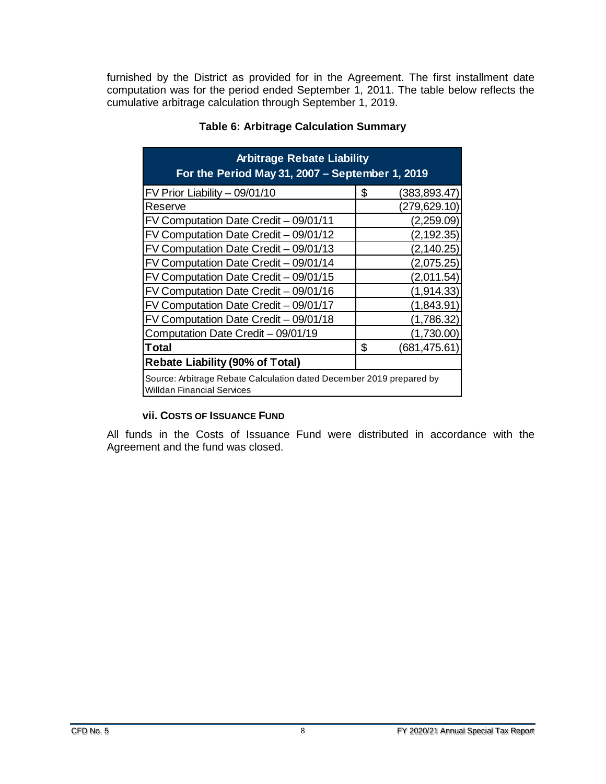<span id="page-11-1"></span>furnished by the District as provided for in the Agreement. The first installment date computation was for the period ended September 1, 2011. The table below reflects the cumulative arbitrage calculation through September 1, 2019.

| <b>Arbitrage Rebate Liability</b><br>For the Period May 31, 2007 - September 1, 2019                      |                    |  |  |  |  |
|-----------------------------------------------------------------------------------------------------------|--------------------|--|--|--|--|
| FV Prior Liability - 09/01/10                                                                             | \$<br>(383,893.47) |  |  |  |  |
| Reserve                                                                                                   | (279,629.10)       |  |  |  |  |
| FV Computation Date Credit - 09/01/11                                                                     | (2,259.09)         |  |  |  |  |
| FV Computation Date Credit - 09/01/12                                                                     | (2, 192.35)        |  |  |  |  |
| FV Computation Date Credit - 09/01/13                                                                     | (2, 140.25)        |  |  |  |  |
| FV Computation Date Credit - 09/01/14                                                                     | (2,075.25)         |  |  |  |  |
| FV Computation Date Credit - 09/01/15                                                                     | (2,011.54)         |  |  |  |  |
| FV Computation Date Credit - 09/01/16                                                                     | (1,914.33)         |  |  |  |  |
| FV Computation Date Credit - 09/01/17                                                                     | (1,843.91          |  |  |  |  |
| FV Computation Date Credit - 09/01/18                                                                     | (1,786.32)         |  |  |  |  |
| Computation Date Credit - 09/01/19<br>(1,730.00)                                                          |                    |  |  |  |  |
| Total                                                                                                     | \$<br>(681,475.61) |  |  |  |  |
| <b>Rebate Liability (90% of Total)</b>                                                                    |                    |  |  |  |  |
| Source: Arbitrage Rebate Calculation dated December 2019 prepared by<br><b>Willdan Financial Services</b> |                    |  |  |  |  |

#### **Table 6: Arbitrage Calculation Summary**

#### **vii. COSTS OF ISSUANCE FUND**

<span id="page-11-0"></span>All funds in the Costs of Issuance Fund were distributed in accordance with the Agreement and the fund was closed.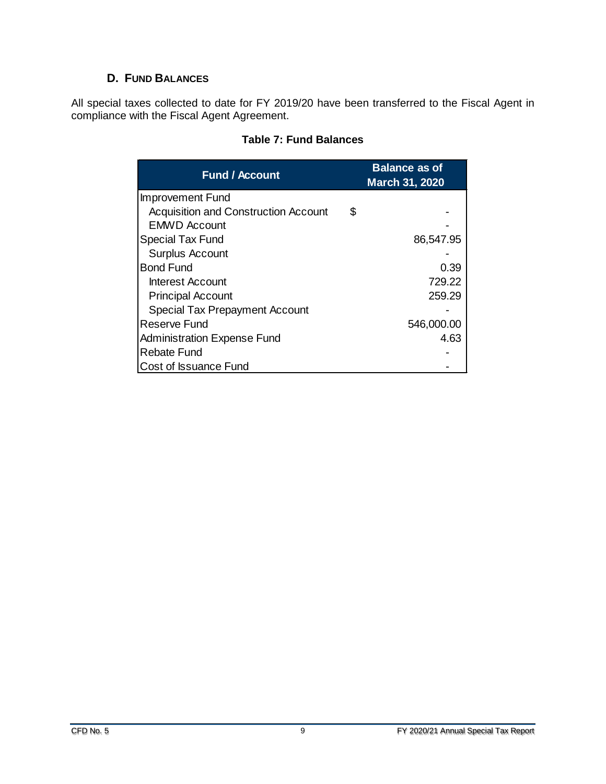#### **D. FUND BALANCES**

<span id="page-12-1"></span><span id="page-12-0"></span>All special taxes collected to date for FY 2019/20 have been transferred to the Fiscal Agent in compliance with the Fiscal Agent Agreement.

| <b>Fund / Account</b>                 | <b>Balance as of</b><br><b>March 31, 2020</b> |
|---------------------------------------|-----------------------------------------------|
| <b>Improvement Fund</b>               |                                               |
| Acquisition and Construction Account  | \$                                            |
| <b>EMWD Account</b>                   |                                               |
| Special Tax Fund                      | 86,547.95                                     |
| <b>Surplus Account</b>                |                                               |
| <b>Bond Fund</b>                      | 0.39                                          |
| Interest Account                      | 729.22                                        |
| <b>Principal Account</b>              | 259.29                                        |
| <b>Special Tax Prepayment Account</b> |                                               |
| Reserve Fund                          | 546,000.00                                    |
| Administration Expense Fund           | 4.63                                          |
| Rebate Fund                           |                                               |
| Cost of Issuance Fund                 |                                               |

#### **Table 7: Fund Balances**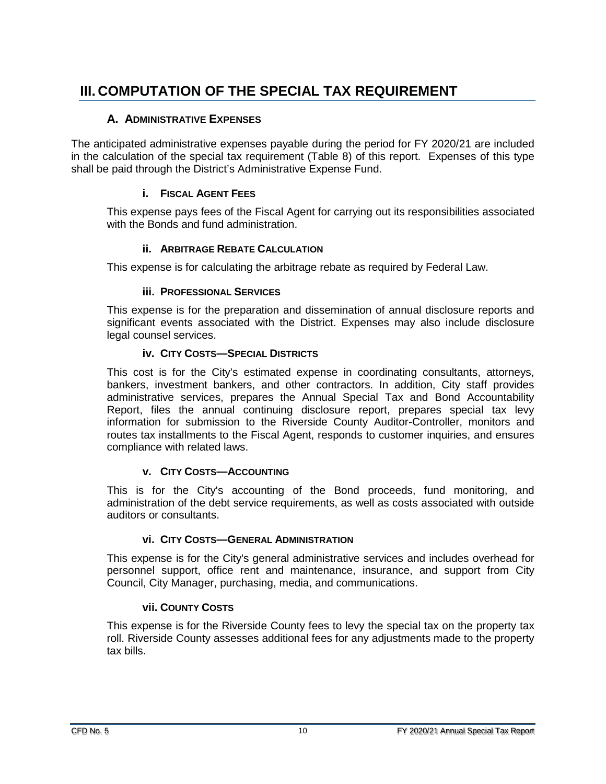# <span id="page-13-0"></span>**III. COMPUTATION OF THE SPECIAL TAX REQUIREMENT**

#### **A. ADMINISTRATIVE EXPENSES**

<span id="page-13-1"></span>The anticipated administrative expenses payable during the period for FY 2020/21 are included in the calculation of the special tax requirement (Table 8) of this report. Expenses of this type shall be paid through the District's Administrative Expense Fund.

#### **i. FISCAL AGENT FEES**

<span id="page-13-2"></span>This expense pays fees of the Fiscal Agent for carrying out its responsibilities associated with the Bonds and fund administration.

#### **ii. ARBITRAGE REBATE CALCULATION**

<span id="page-13-3"></span>This expense is for calculating the arbitrage rebate as required by Federal Law.

#### **iii. PROFESSIONAL SERVICES**

<span id="page-13-4"></span>This expense is for the preparation and dissemination of annual disclosure reports and significant events associated with the District. Expenses may also include disclosure legal counsel services.

#### **iv. CITY COSTS—SPECIAL DISTRICTS**

<span id="page-13-5"></span>This cost is for the City's estimated expense in coordinating consultants, attorneys, bankers, investment bankers, and other contractors. In addition, City staff provides administrative services, prepares the Annual Special Tax and Bond Accountability Report, files the annual continuing disclosure report, prepares special tax levy information for submission to the Riverside County Auditor-Controller, monitors and routes tax installments to the Fiscal Agent, responds to customer inquiries, and ensures compliance with related laws.

#### **v. CITY COSTS—ACCOUNTING**

<span id="page-13-6"></span>This is for the City's accounting of the Bond proceeds, fund monitoring, and administration of the debt service requirements, as well as costs associated with outside auditors or consultants.

#### **vi. CITY COSTS—GENERAL ADMINISTRATION**

<span id="page-13-7"></span>This expense is for the City's general administrative services and includes overhead for personnel support, office rent and maintenance, insurance, and support from City Council, City Manager, purchasing, media, and communications.

#### **vii. COUNTY COSTS**

<span id="page-13-8"></span>This expense is for the Riverside County fees to levy the special tax on the property tax roll. Riverside County assesses additional fees for any adjustments made to the property tax bills.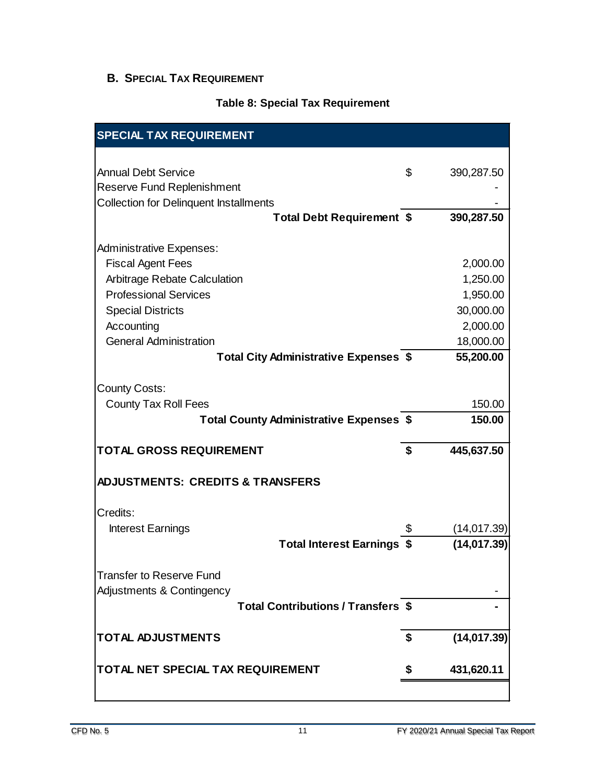## <span id="page-14-0"></span>**B. SPECIAL TAX REQUIREMENT**

#### **Table 8: Special Tax Requirement**

<span id="page-14-1"></span>

| <b>SPECIAL TAX REQUIREMENT</b>                                                     |                    |
|------------------------------------------------------------------------------------|--------------------|
|                                                                                    |                    |
| <b>Annual Debt Service</b>                                                         | \$<br>390,287.50   |
| <b>Reserve Fund Replenishment</b><br><b>Collection for Delinquent Installments</b> |                    |
| <b>Total Debt Requirement \$</b>                                                   | 390,287.50         |
|                                                                                    |                    |
| <b>Administrative Expenses:</b>                                                    |                    |
| <b>Fiscal Agent Fees</b>                                                           | 2,000.00           |
| Arbitrage Rebate Calculation                                                       | 1,250.00           |
| <b>Professional Services</b>                                                       | 1,950.00           |
| <b>Special Districts</b>                                                           | 30,000.00          |
| Accounting                                                                         | 2,000.00           |
| <b>General Administration</b>                                                      | 18,000.00          |
| Total City Administrative Expenses \$                                              | 55,200.00          |
|                                                                                    |                    |
| <b>County Costs:</b>                                                               | 150.00             |
| <b>County Tax Roll Fees</b><br><b>Total County Administrative Expenses \$</b>      | 150.00             |
|                                                                                    |                    |
| <b>TOTAL GROSS REQUIREMENT</b>                                                     | \$<br>445,637.50   |
| <b>ADJUSTMENTS: CREDITS &amp; TRANSFERS</b>                                        |                    |
| Credits:                                                                           |                    |
| <b>Interest Earnings</b>                                                           | \$<br>(14, 017.39) |
| <b>Total Interest Earnings</b>                                                     | (14, 017.39)       |
|                                                                                    |                    |
| <b>Transfer to Reserve Fund</b>                                                    |                    |
| Adjustments & Contingency                                                          |                    |
| <b>Total Contributions / Transfers \$</b>                                          |                    |
|                                                                                    |                    |
| <b>TOTAL ADJUSTMENTS</b>                                                           | \$<br>(14, 017.39) |
| TOTAL NET SPECIAL TAX REQUIREMENT                                                  | \$<br>431,620.11   |
|                                                                                    |                    |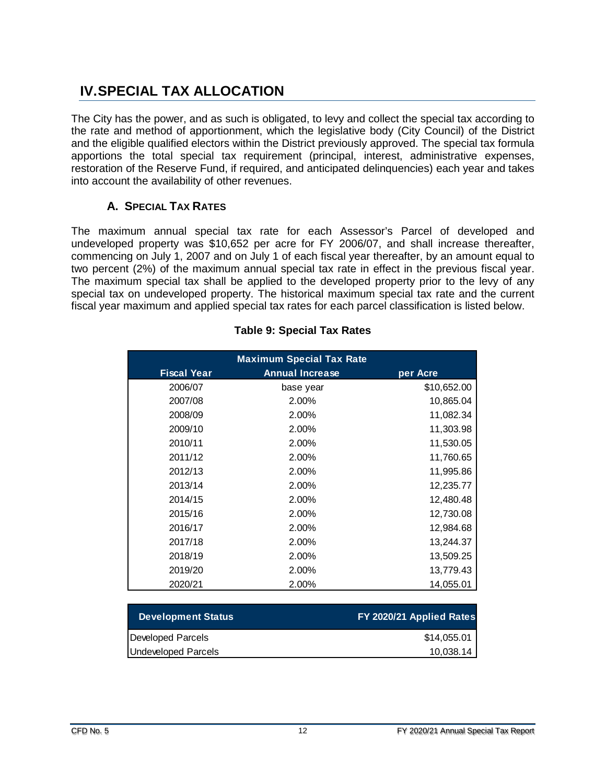# <span id="page-15-0"></span>**IV.SPECIAL TAX ALLOCATION**

The City has the power, and as such is obligated, to levy and collect the special tax according to the rate and method of apportionment, which the legislative body (City Council) of the District and the eligible qualified electors within the District previously approved. The special tax formula apportions the total special tax requirement (principal, interest, administrative expenses, restoration of the Reserve Fund, if required, and anticipated delinquencies) each year and takes into account the availability of other revenues.

#### **A. SPECIAL TAX RATES**

<span id="page-15-1"></span>The maximum annual special tax rate for each Assessor's Parcel of developed and undeveloped property was \$10,652 per acre for FY 2006/07, and shall increase thereafter, commencing on July 1, 2007 and on July 1 of each fiscal year thereafter, by an amount equal to two percent (2%) of the maximum annual special tax rate in effect in the previous fiscal year. The maximum special tax shall be applied to the developed property prior to the levy of any special tax on undeveloped property. The historical maximum special tax rate and the current fiscal year maximum and applied special tax rates for each parcel classification is listed below.

<span id="page-15-2"></span>

| <b>Maximum Special Tax Rate</b> |                        |             |  |  |  |
|---------------------------------|------------------------|-------------|--|--|--|
| <b>Fiscal Year</b>              | <b>Annual Increase</b> | per Acre    |  |  |  |
| 2006/07                         | base year              | \$10,652.00 |  |  |  |
| 2007/08                         | 2.00%                  | 10,865.04   |  |  |  |
| 2008/09                         | 2.00%                  | 11,082.34   |  |  |  |
| 2009/10                         | 2.00%                  | 11,303.98   |  |  |  |
| 2010/11                         | 2.00%                  | 11,530.05   |  |  |  |
| 2011/12                         | 2.00%                  | 11,760.65   |  |  |  |
| 2012/13                         | 2.00%                  | 11,995.86   |  |  |  |
| 2013/14                         | 2.00%                  | 12,235.77   |  |  |  |
| 2014/15                         | 2.00%                  | 12,480.48   |  |  |  |
| 2015/16                         | 2.00%                  | 12,730.08   |  |  |  |
| 2016/17                         | 2.00%                  | 12,984.68   |  |  |  |
| 2017/18                         | 2.00%                  | 13,244.37   |  |  |  |
| 2018/19                         | 2.00%                  | 13,509.25   |  |  |  |
| 2019/20                         | 2.00%                  | 13,779.43   |  |  |  |
| 2020/21                         | 2.00%                  | 14,055.01   |  |  |  |

#### **Table 9: Special Tax Rates**

| <b>Development Status</b> | FY 2020/21 Applied Rates |
|---------------------------|--------------------------|
| Developed Parcels         | \$14,055.01              |
| Undeveloped Parcels       | 10,038.14                |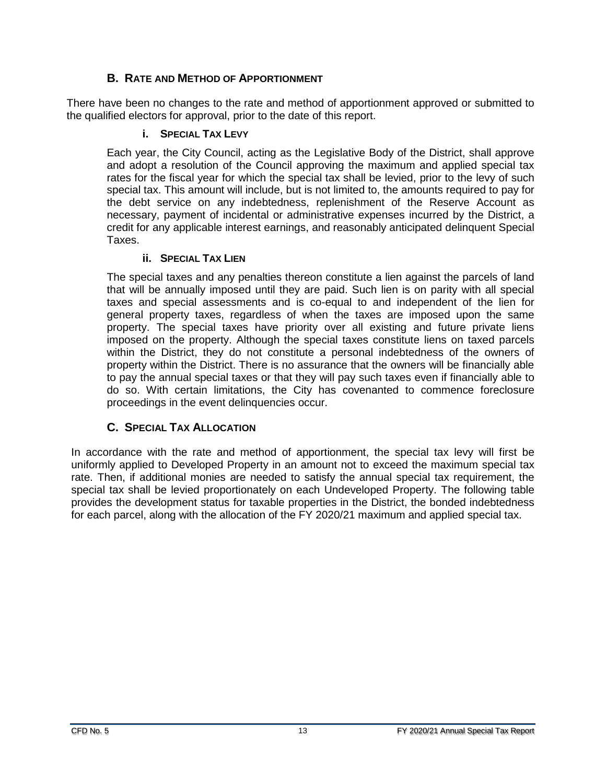#### **B. RATE AND METHOD OF APPORTIONMENT**

<span id="page-16-1"></span><span id="page-16-0"></span>There have been no changes to the rate and method of apportionment approved or submitted to the qualified electors for approval, prior to the date of this report.

#### **i. SPECIAL TAX LEVY**

Each year, the City Council, acting as the Legislative Body of the District, shall approve and adopt a resolution of the Council approving the maximum and applied special tax rates for the fiscal year for which the special tax shall be levied, prior to the levy of such special tax. This amount will include, but is not limited to, the amounts required to pay for the debt service on any indebtedness, replenishment of the Reserve Account as necessary, payment of incidental or administrative expenses incurred by the District, a credit for any applicable interest earnings, and reasonably anticipated delinquent Special Taxes.

#### **ii.** SPECIAL TAX LIEN

<span id="page-16-2"></span>The special taxes and any penalties thereon constitute a lien against the parcels of land that will be annually imposed until they are paid. Such lien is on parity with all special taxes and special assessments and is co-equal to and independent of the lien for general property taxes, regardless of when the taxes are imposed upon the same property. The special taxes have priority over all existing and future private liens imposed on the property. Although the special taxes constitute liens on taxed parcels within the District, they do not constitute a personal indebtedness of the owners of property within the District. There is no assurance that the owners will be financially able to pay the annual special taxes or that they will pay such taxes even if financially able to do so. With certain limitations, the City has covenanted to commence foreclosure proceedings in the event delinquencies occur.

#### **C. SPECIAL TAX ALLOCATION**

<span id="page-16-3"></span>In accordance with the rate and method of apportionment, the special tax levy will first be uniformly applied to Developed Property in an amount not to exceed the maximum special tax rate. Then, if additional monies are needed to satisfy the annual special tax requirement, the special tax shall be levied proportionately on each Undeveloped Property. The following table provides the development status for taxable properties in the District, the bonded indebtedness for each parcel, along with the allocation of the FY 2020/21 maximum and applied special tax.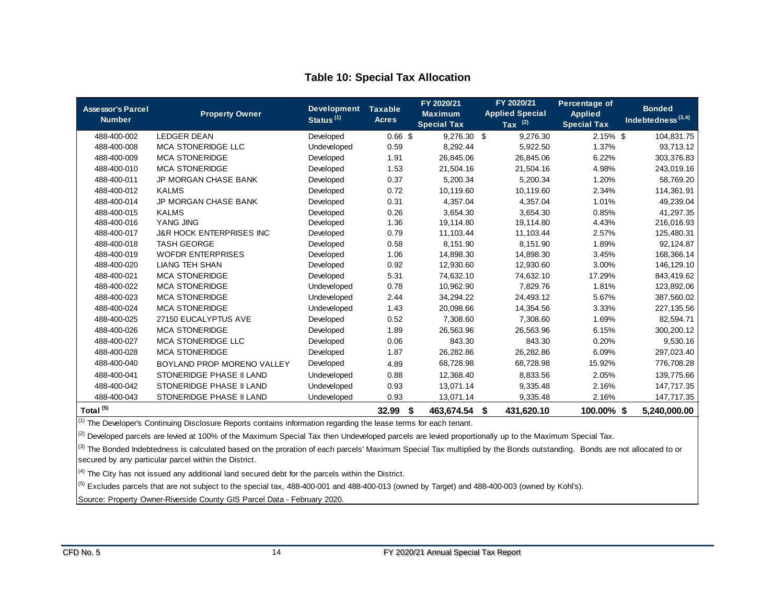<span id="page-17-0"></span>

| <b>Assessor's Parcel</b><br><b>Number</b> | <b>Property Owner</b>               | <b>Development</b><br>Status <sup>(1)</sup> | <b>Taxable</b><br><b>Acres</b> | FY 2020/21<br><b>Maximum</b><br><b>Special Tax</b> | FY 2020/21<br><b>Applied Special</b><br>Tax $(2)$ | Percentage of<br><b>Applied</b><br><b>Special Tax</b> | <b>Bonded</b><br>Indebtedness $(3,4)$ |
|-------------------------------------------|-------------------------------------|---------------------------------------------|--------------------------------|----------------------------------------------------|---------------------------------------------------|-------------------------------------------------------|---------------------------------------|
| 488-400-002                               | <b>LEDGER DEAN</b>                  | Developed                                   | $0.66$ \$                      | 9,276.30 \$                                        | 9.276.30                                          | $2.15\%$ \$                                           | 104,831.75                            |
| 488-400-008                               | <b>MCA STONERIDGE LLC</b>           | Undeveloped                                 | 0.59                           | 8,292.44                                           | 5,922.50                                          | 1.37%                                                 | 93,713.12                             |
| 488-400-009                               | <b>MCA STONERIDGE</b>               | Developed                                   | 1.91                           | 26,845.06                                          | 26,845.06                                         | 6.22%                                                 | 303,376.83                            |
| 488-400-010                               | <b>MCA STONERIDGE</b>               | Developed                                   | 1.53                           | 21,504.16                                          | 21,504.16                                         | 4.98%                                                 | 243,019.16                            |
| 488-400-011                               | <b>JP MORGAN CHASE BANK</b>         | Developed                                   | 0.37                           | 5,200.34                                           | 5,200.34                                          | 1.20%                                                 | 58,769.20                             |
| 488-400-012                               | <b>KALMS</b>                        | Developed                                   | 0.72                           | 10,119.60                                          | 10,119.60                                         | 2.34%                                                 | 114,361.91                            |
| 488-400-014                               | <b>JP MORGAN CHASE BANK</b>         | Developed                                   | 0.31                           | 4.357.04                                           | 4,357.04                                          | 1.01%                                                 | 49,239.04                             |
| 488-400-015                               | <b>KALMS</b>                        | Developed                                   | 0.26                           | 3,654.30                                           | 3,654.30                                          | 0.85%                                                 | 41,297.35                             |
| 488-400-016                               | YANG JING                           | Developed                                   | 1.36                           | 19,114.80                                          | 19.114.80                                         | 4.43%                                                 | 216,016.93                            |
| 488-400-017                               | <b>J&amp;R HOCK ENTERPRISES INC</b> | Developed                                   | 0.79                           | 11,103.44                                          | 11,103.44                                         | 2.57%                                                 | 125,480.31                            |
| 488-400-018                               | <b>TASH GEORGE</b>                  | Developed                                   | 0.58                           | 8.151.90                                           | 8.151.90                                          | 1.89%                                                 | 92,124.87                             |
| 488-400-019                               | <b>WOFDR ENTERPRISES</b>            | Developed                                   | 1.06                           | 14,898.30                                          | 14,898.30                                         | 3.45%                                                 | 168,366.14                            |
| 488-400-020                               | <b>LIANG TEH SHAN</b>               | Developed                                   | 0.92                           | 12,930.60                                          | 12,930.60                                         | 3.00%                                                 | 146,129.10                            |
| 488-400-021                               | <b>MCA STONERIDGE</b>               | Developed                                   | 5.31                           | 74,632.10                                          | 74,632.10                                         | 17.29%                                                | 843,419.62                            |
| 488-400-022                               | <b>MCA STONERIDGE</b>               | Undeveloped                                 | 0.78                           | 10,962.90                                          | 7,829.76                                          | 1.81%                                                 | 123,892.06                            |
| 488-400-023                               | <b>MCA STONERIDGE</b>               | Undeveloped                                 | 2.44                           | 34,294.22                                          | 24,493.12                                         | 5.67%                                                 | 387,560.02                            |
| 488-400-024                               | <b>MCA STONERIDGE</b>               | Undeveloped                                 | 1.43                           | 20,098.66                                          | 14,354.56                                         | 3.33%                                                 | 227,135.56                            |
| 488-400-025                               | 27150 EUCALYPTUS AVE                | Developed                                   | 0.52                           | 7.308.60                                           | 7,308.60                                          | 1.69%                                                 | 82,594.71                             |
| 488-400-026                               | <b>MCA STONERIDGE</b>               | Developed                                   | 1.89                           | 26,563.96                                          | 26,563.96                                         | 6.15%                                                 | 300,200.12                            |
| 488-400-027                               | <b>MCA STONERIDGE LLC</b>           | Developed                                   | 0.06                           | 843.30                                             | 843.30                                            | 0.20%                                                 | 9,530.16                              |
| 488-400-028                               | <b>MCA STONERIDGE</b>               | Developed                                   | 1.87                           | 26,282.86                                          | 26,282.86                                         | 6.09%                                                 | 297,023.40                            |
| 488-400-040                               | BOYLAND PROP MORENO VALLEY          | Developed                                   | 4.89                           | 68,728.98                                          | 68,728.98                                         | 15.92%                                                | 776,708.28                            |
| 488-400-041                               | STONERIDGE PHASE II LAND            | Undeveloped                                 | 0.88                           | 12,368.40                                          | 8,833.56                                          | 2.05%                                                 | 139,775.66                            |
| 488-400-042                               | STONERIDGE PHASE II LAND            | Undeveloped                                 | 0.93                           | 13,071.14                                          | 9,335.48                                          | 2.16%                                                 | 147,717.35                            |
| 488-400-043                               | STONERIDGE PHASE II LAND            | Undeveloped                                 | 0.93                           | 13,071.14                                          | 9,335.48                                          | 2.16%                                                 | 147,717.35                            |
| Total <sup>(5)</sup>                      |                                     |                                             | 32.99<br>\$                    | 463.674.54                                         | 431.620.10<br>\$                                  | 100.00% \$                                            | 5.240.000.00                          |

#### **Table 10: Special Tax Allocation**

 $(1)$  The Developer's Continuing Disclosure Reports contains information regarding the lease terms for each tenant.

<sup>(2)</sup> Developed parcels are levied at 100% of the Maximum Special Tax then Undeveloped parcels are levied proportionally up to the Maximum Special Tax.

(3) The Bonded Indebtedness is calculated based on the proration of each parcels' Maximum Special Tax multiplied by the Bonds outstanding. Bonds are not allocated to or secured by any particular parcel within the District.

 $\left| \right.^{\scriptscriptstyle{(4)}}$  The City has not issued any additional land secured debt for the parcels within the District.

<sup>(5)</sup> Excludes parcels that are not subject to the special tax, 488-400-001 and 488-400-013 (owned by Target) and 488-400-003 (owned by Kohl's).

Source: Property Owner-Riverside County GIS Parcel Data - February 2020.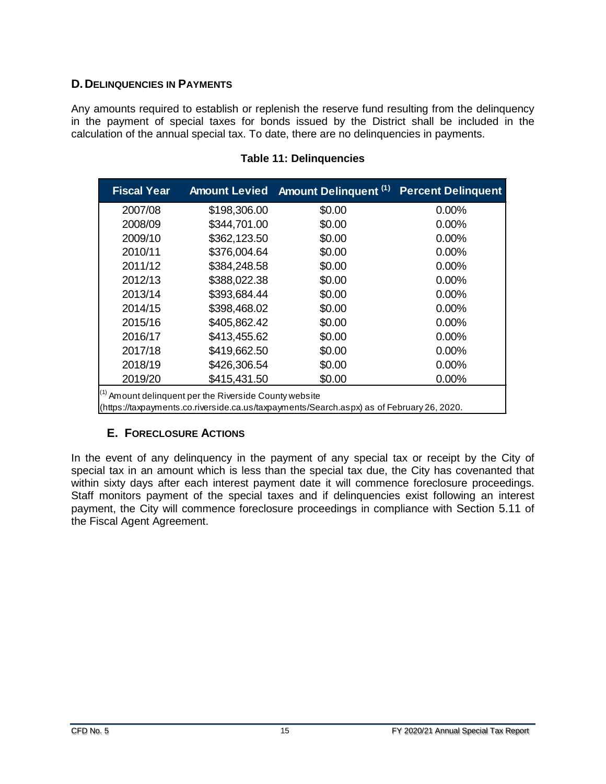#### <span id="page-18-0"></span>**D.DELINQUENCIES IN PAYMENTS**

Any amounts required to establish or replenish the reserve fund resulting from the delinquency in the payment of special taxes for bonds issued by the District shall be included in the calculation of the annual special tax. To date, there are no delinquencies in payments.

<span id="page-18-2"></span>

| <b>Fiscal Year</b>                                                                                                                                             | <b>Amount Levied</b> | <b>Amount Delinquent (1)</b> | <b>Percent Delinquent</b> |  |  |
|----------------------------------------------------------------------------------------------------------------------------------------------------------------|----------------------|------------------------------|---------------------------|--|--|
| 2007/08                                                                                                                                                        | \$198,306.00         | \$0.00                       | 0.00%                     |  |  |
| 2008/09                                                                                                                                                        | \$344,701.00         | \$0.00                       | $0.00\%$                  |  |  |
| 2009/10                                                                                                                                                        | \$362,123.50         | \$0.00                       | 0.00%                     |  |  |
| 2010/11                                                                                                                                                        | \$376,004.64         | \$0.00                       | $0.00\%$                  |  |  |
| 2011/12                                                                                                                                                        | \$384,248.58         | \$0.00                       | 0.00%                     |  |  |
| 2012/13                                                                                                                                                        | \$388,022.38         | \$0.00                       | $0.00\%$                  |  |  |
| 2013/14                                                                                                                                                        | \$393,684.44         | \$0.00                       | 0.00%                     |  |  |
| 2014/15                                                                                                                                                        | \$398,468.02         | \$0.00                       | 0.00%                     |  |  |
| 2015/16                                                                                                                                                        | \$405,862.42         | \$0.00                       | 0.00%                     |  |  |
| 2016/17                                                                                                                                                        | \$413,455.62         | \$0.00                       | $0.00\%$                  |  |  |
| 2017/18                                                                                                                                                        | \$419,662.50         | \$0.00                       | $0.00\%$                  |  |  |
| 2018/19                                                                                                                                                        | \$426,306.54         | \$0.00                       | $0.00\%$                  |  |  |
| 2019/20                                                                                                                                                        | \$415,431.50         | \$0.00                       | 0.00%                     |  |  |
| <sup>(1)</sup> Amount delinquent per the Riverside County website<br>(https://taxpayments.co.riverside.ca.us/taxpayments/Search.aspx) as of February 26, 2020. |                      |                              |                           |  |  |

#### **Table 11: Delinquencies**

#### **E. FORECLOSURE ACTIONS**

<span id="page-18-1"></span>In the event of any delinquency in the payment of any special tax or receipt by the City of special tax in an amount which is less than the special tax due, the City has covenanted that within sixty days after each interest payment date it will commence foreclosure proceedings. Staff monitors payment of the special taxes and if delinquencies exist following an interest payment, the City will commence foreclosure proceedings in compliance with Section 5.11 of the Fiscal Agent Agreement.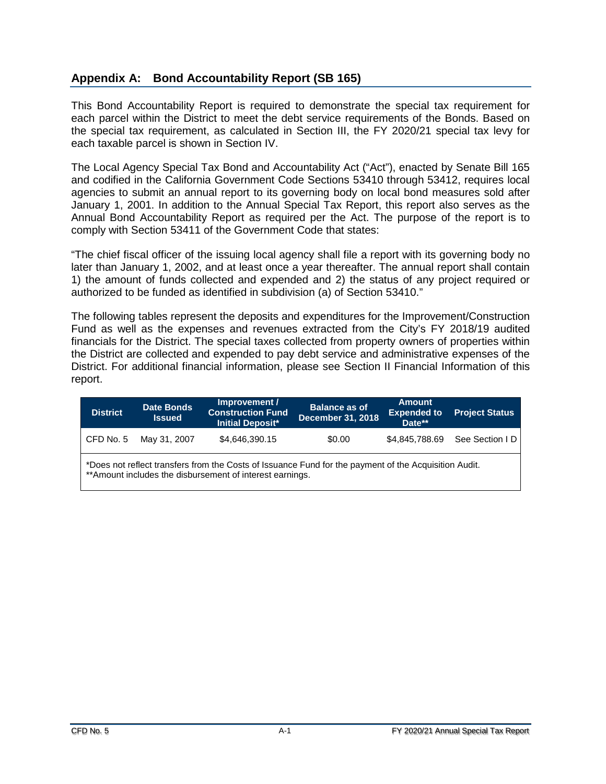#### <span id="page-19-0"></span>**Appendix A: Bond Accountability Report (SB 165)**

This Bond Accountability Report is required to demonstrate the special tax requirement for each parcel within the District to meet the debt service requirements of the Bonds. Based on the special tax requirement, as calculated in Section III, the FY 2020/21 special tax levy for each taxable parcel is shown in Section IV.

The Local Agency Special Tax Bond and Accountability Act ("Act"), enacted by Senate Bill 165 and codified in the California Government Code Sections 53410 through 53412, requires local agencies to submit an annual report to its governing body on local bond measures sold after January 1, 2001. In addition to the Annual Special Tax Report, this report also serves as the Annual Bond Accountability Report as required per the Act. The purpose of the report is to comply with Section 53411 of the Government Code that states:

"The chief fiscal officer of the issuing local agency shall file a report with its governing body no later than January 1, 2002, and at least once a year thereafter. The annual report shall contain 1) the amount of funds collected and expended and 2) the status of any project required or authorized to be funded as identified in subdivision (a) of Section 53410."

The following tables represent the deposits and expenditures for the Improvement/Construction Fund as well as the expenses and revenues extracted from the City's FY 2018/19 audited financials for the District. The special taxes collected from property owners of properties within the District are collected and expended to pay debt service and administrative expenses of the District. For additional financial information, please see Section II Financial Information of this report.

| <b>District</b>                                                                                                                                                    | <b>Date Bonds</b><br><b>Issued</b> | Improvement /<br><b>Construction Fund</b><br><b>Initial Deposit*</b> | <b>Balance as of</b><br><b>December 31, 2018</b> | <b>Amount</b><br><b>Expended to</b><br>Date** | <b>Project Status</b>         |  |
|--------------------------------------------------------------------------------------------------------------------------------------------------------------------|------------------------------------|----------------------------------------------------------------------|--------------------------------------------------|-----------------------------------------------|-------------------------------|--|
| CFD No. 5                                                                                                                                                          | May 31, 2007                       | \$4,646,390.15                                                       | \$0.00                                           |                                               | \$4,845,788.69 See Section ID |  |
| *Does not reflect transfers from the Costs of Issuance Fund for the payment of the Acquisition Audit.<br>** Amount includes the disbursement of interest earnings. |                                    |                                                                      |                                                  |                                               |                               |  |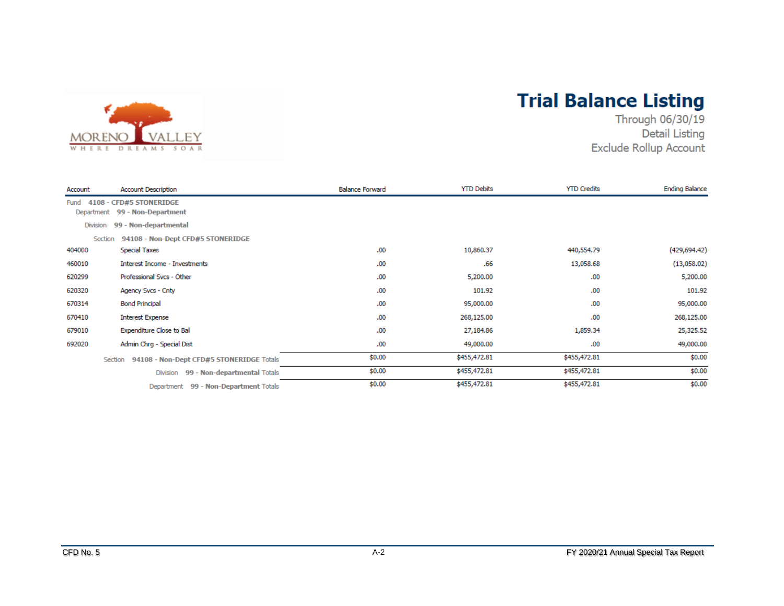

# **Trial Balance Listing**

Through 06/30/19 **Detail Listing** Exclude Rollup Account

| Account         | <b>Account Description</b>                                | <b>Balance Forward</b> | <b>YTD Debits</b> | <b>YTD Credits</b> | <b>Ending Balance</b> |
|-----------------|-----------------------------------------------------------|------------------------|-------------------|--------------------|-----------------------|
| Fund            | 4108 - CFD#5 STONERIDGE<br>Department 99 - Non-Department |                        |                   |                    |                       |
| <b>Division</b> | 99 - Non-departmental                                     |                        |                   |                    |                       |
|                 | 94108 - Non-Dept CFD#5 STONERIDGE<br>Section              |                        |                   |                    |                       |
| 404000          | <b>Special Taxes</b>                                      | .00                    | 10,860.37         | 440,554.79         | (429, 694.42)         |
| 460010          | <b>Interest Income - Investments</b>                      | .00                    | .66               | 13,058.68          | (13,058.02)           |
| 620299          | Professional Svcs - Other                                 | .00.                   | 5,200.00          | .00                | 5,200.00              |
| 620320          | Agency Svcs - Cnty                                        | .00                    | 101.92            | .00                | 101.92                |
| 670314          | <b>Bond Principal</b>                                     | .00.                   | 95,000.00         | .00                | 95,000.00             |
| 670410          | <b>Interest Expense</b>                                   | .00                    | 268,125.00        | .00                | 268,125.00            |
| 679010          | Expenditure Close to Bal                                  | .00                    | 27,184.86         | 1,859.34           | 25,325.52             |
| 692020          | Admin Chrg - Special Dist                                 | .00                    | 49,000.00         | .00                | 49,000.00             |
|                 | Section 94108 - Non-Dept CFD#5 STONERIDGE Totals          | \$0.00                 | \$455,472.81      | \$455,472.81       | \$0.00                |
|                 | Division 99 - Non-departmental Totals                     | \$0.00                 | \$455,472.81      | \$455,472.81       | \$0.00                |
|                 | Department 99 - Non-Department Totals                     | \$0.00                 | \$455,472.81      | \$455,472.81       | \$0.00                |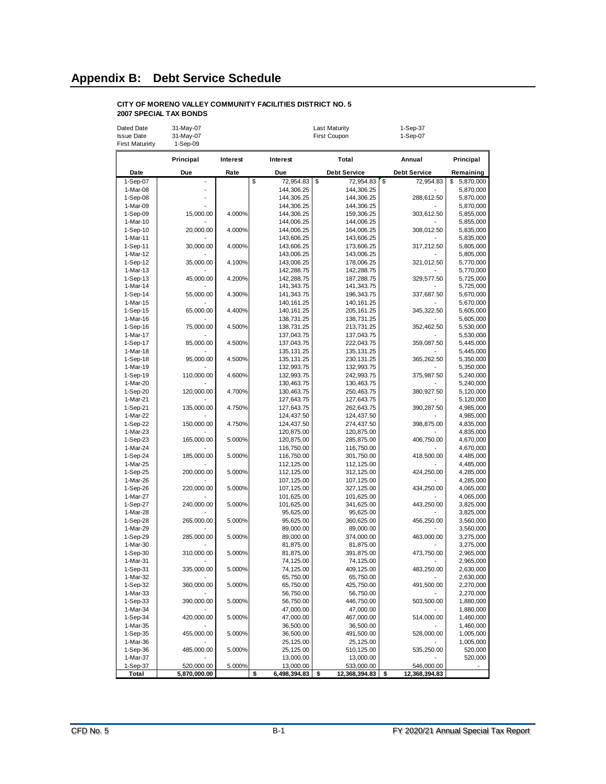#### <span id="page-21-0"></span>**Appendix B: Debt Service Schedule**

#### **CITY OF MORENO VALLEY COMMUNITY FACILITIES DISTRICT NO. 5 2007 SPECIAL TAX BONDS**

| Dated Date             | 31-May-07    |          |                          | <b>Last Maturity</b>     | 1-Sep-37            |                        |
|------------------------|--------------|----------|--------------------------|--------------------------|---------------------|------------------------|
| <b>Issue Date</b>      | 31-May-07    |          |                          | First Coupon             | 1-Sep-07            |                        |
| <b>First Maturirty</b> | 1-Sep-09     |          |                          |                          |                     |                        |
|                        | Principal    | Interest | Interest                 | Total                    | Annual              | Principal              |
| Date                   | Due          | Rate     | Due                      | <b>Debt Service</b>      | <b>Debt Service</b> | Remaining              |
| 1-Sep-07               |              |          | \$<br>72,954.83          | \$<br>72,954.83          | \$<br>72,954.83     | 5,870,000<br>\$        |
| 1-Mar-08               |              |          | 144,306.25               | 144,306.25               |                     | 5,870,000              |
| 1-Sep-08               |              |          | 144,306.25               | 144,306.25               | 288,612.50          | 5,870,000              |
| 1-Mar-09               |              |          | 144,306.25               | 144,306.25               |                     | 5,870,000              |
| 1-Sep-09               | 15,000.00    | 4.000%   | 144,306.25               | 159,306.25               | 303,612.50          | 5,855,000              |
| 1-Mar-10               |              |          | 144,006.25               | 144,006.25               |                     | 5,855,000              |
| 1-Sep-10               | 20,000.00    | 4.000%   | 144,006.25               | 164,006.25               | 308,012.50          | 5,835,000              |
| 1-Mar-11               |              |          | 143,606.25               | 143,606.25               |                     | 5,835,000              |
| 1-Sep-11<br>1-Mar-12   | 30,000.00    | 4.000%   | 143,606.25<br>143,006.25 | 173,606.25<br>143,006.25 | 317,212.50          | 5,805,000<br>5,805,000 |
| 1-Sep-12               | 35,000.00    | 4.100%   | 143,006.25               | 178,006.25               | 321,012.50          | 5,770,000              |
| 1-Mar-13               |              |          | 142,288.75               | 142,288.75               |                     | 5,770,000              |
| $1-Sep-13$             | 45,000.00    | 4.200%   | 142,288.75               | 187,288.75               | 329,577.50          | 5,725,000              |
| 1-Mar-14               |              |          | 141,343.75               | 141,343.75               |                     | 5,725,000              |
| 1-Sep-14               | 55,000.00    | 4.300%   | 141,343.75               | 196,343.75               | 337,687.50          | 5,670,000              |
| 1-Mar-15               |              |          | 140, 161.25              | 140, 161.25              |                     | 5,670,000              |
| 1-Sep-15               | 65,000.00    | 4.400%   | 140, 161.25              | 205, 161.25              | 345,322.50          | 5,605,000              |
| 1-Mar-16               |              |          | 138,731.25               | 138,731.25               |                     | 5,605,000              |
| $1-Sep-16$             | 75,000.00    | 4.500%   | 138,731.25               | 213,731.25               | 352,462.50          | 5,530,000              |
| 1-Mar-17               |              |          | 137,043.75               | 137,043.75               |                     | 5,530,000              |
| 1-Sep-17               | 85,000.00    | 4.500%   | 137,043.75               | 222,043.75               | 359.087.50          | 5,445,000              |
| 1-Mar-18               |              |          | 135, 131.25              | 135, 131.25              |                     | 5,445,000              |
| 1-Sep-18               | 95,000.00    | 4.500%   | 135, 131.25              | 230, 131. 25             | 365,262.50          | 5,350,000              |
| 1-Mar-19               |              |          | 132,993.75               | 132,993.75               |                     | 5,350,000              |
| 1-Sep-19               | 110,000.00   | 4.600%   | 132,993.75               | 242,993.75               | 375,987.50          | 5,240,000              |
| 1-Mar-20               | 120,000.00   |          | 130,463.75               | 130,463.75               |                     | 5,240,000              |
| 1-Sep-20<br>1-Mar-21   |              | 4.700%   | 130,463.75<br>127,643.75 | 250,463.75<br>127,643.75 | 380,927.50          | 5,120,000<br>5,120,000 |
| 1-Sep-21               | 135,000.00   | 4.750%   | 127,643.75               | 262,643.75               | 390,287.50          | 4,985,000              |
| 1-Mar-22               |              |          | 124,437.50               | 124,437.50               |                     | 4,985,000              |
| 1-Sep-22               | 150,000.00   | 4.750%   | 124,437.50               | 274,437.50               | 398,875.00          | 4,835,000              |
| 1-Mar-23               |              |          | 120,875.00               | 120,875.00               |                     | 4,835,000              |
| 1-Sep-23               | 165,000.00   | 5.000%   | 120,875.00               | 285,875.00               | 406,750.00          | 4,670,000              |
| 1-Mar-24               |              |          | 116,750.00               | 116,750.00               |                     | 4,670,000              |
| 1-Sep-24               | 185,000.00   | 5.000%   | 116,750.00               | 301,750.00               | 418,500.00          | 4,485,000              |
| 1-Mar-25               |              |          | 112,125.00               | 112,125.00               |                     | 4,485,000              |
| 1-Sep-25               | 200,000.00   | 5.000%   | 112, 125.00              | 312, 125.00              | 424,250.00          | 4,285,000              |
| 1-Mar-26               |              |          | 107,125.00               | 107,125.00               |                     | 4,285,000              |
| 1-Sep-26               | 220,000.00   | 5.000%   | 107,125.00               | 327, 125.00              | 434,250.00          | 4,065,000              |
| 1-Mar-27               |              |          | 101,625.00               | 101,625.00               |                     | 4,065,000              |
| 1-Sep-27<br>1-Mar-28   | 240,000.00   | 5.000%   | 101,625.00<br>95,625.00  | 341,625.00<br>95,625.00  | 443,250.00          | 3,825,000<br>3,825,000 |
| 1-Sep-28               | 265,000.00   | 5.000%   | 95,625.00                | 360,625.00               | 456,250.00          | 3,560,000              |
| 1-Mar-29               |              |          | 89,000.00                | 89,000.00                |                     | 3,560,000              |
| 1-Sep-29               | 285,000.00   | 5.000%   | 89,000.00                | 374,000.00               | 463,000.00          | 3,275,000              |
| 1-Mar-30               |              |          | 81,875.00                | 81,875.00                |                     | 3,275,000              |
| 1-Sep-30               | 310,000.00   | 5.000%   | 81,875.00                | 391,875.00               | 473,750.00          | 2,965,000              |
| 1-Mar-31               |              |          | 74,125.00                | 74,125.00                |                     | 2,965,000              |
| 1-Sep-31               | 335,000.00   | 5.000%   | 74,125.00                | 409,125.00               | 483,250.00          | 2,630,000              |
| 1-Mar-32               |              |          | 65,750.00                | 65,750.00                |                     | 2,630,000              |
| 1-Sep-32               | 360,000.00   | 5.000%   | 65,750.00                | 425,750.00               | 491,500.00          | 2,270,000              |
| 1-Mar-33               |              |          | 56,750.00                | 56,750.00                |                     | 2,270,000              |
| 1-Sep-33               | 390,000.00   | 5.000%   | 56,750.00                | 446,750.00               | 503,500.00          | 1,880,000              |
| 1-Mar-34               |              |          | 47,000.00                | 47,000.00                |                     | 1,880,000              |
| 1-Sep-34               | 420,000.00   | 5.000%   | 47,000.00                | 467,000.00               | 514,000.00          | 1,460,000              |
| 1-Mar-35<br>1-Sep-35   | 455,000.00   | 5.000%   | 36,500.00<br>36,500.00   | 36,500.00<br>491,500.00  | 528,000.00          | 1,460,000<br>1,005,000 |
| 1-Mar-36               |              |          | 25,125.00                | 25,125.00                |                     | 1,005,000              |
| 1-Sep-36               | 485,000.00   | 5.000%   | 25,125.00                | 510,125.00               | 535,250.00          | 520,000                |
| 1-Mar-37               |              |          | 13,000.00                | 13,000.00                |                     | 520,000                |
| 1-Sep-37               | 520,000.00   | 5.000%   | 13,000.00                | 533,000.00               | 546,000.00          |                        |
| Total                  | 5,870,000.00 |          | \$<br>6,498,394.83       | \$<br>12,368,394.83      | \$<br>12,368,394.83 |                        |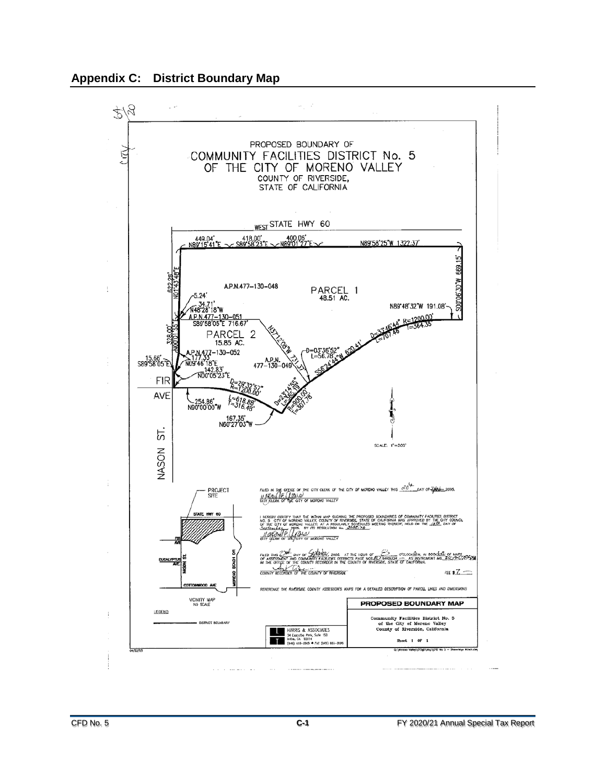<span id="page-22-0"></span>

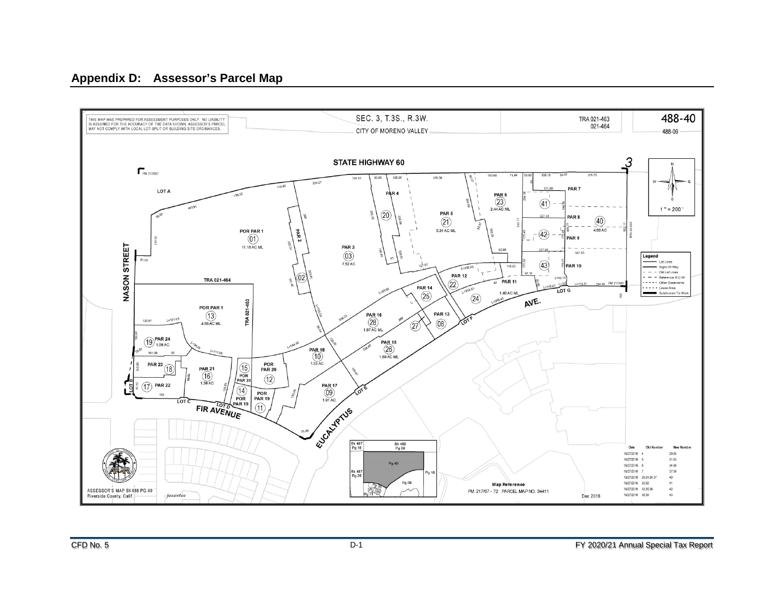#### **Appendix D: Assessor's Parcel Map**

<span id="page-23-0"></span>